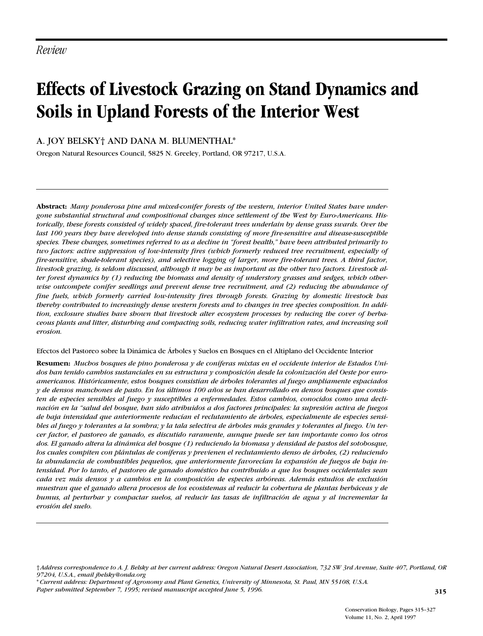# **Effects of Livestock Grazing on Stand Dynamics and Soils in Upland Forests of the Interior West**

A. JOY BELSKY† AND DANA M. BLUMENTHAL\*

Oregon Natural Resources Council, 5825 N. Greeley, Portland, OR 97217, U.S.A.

**Abstract:** *Many ponderosa pine and mixed-conifer forests of the western, interior United States have undergone substantial structural and compositional changes since settlement of the West by Euro-Americans. Historically, these forests consisted of widely spaced, fire-tolerant trees underlain by dense grass swards. Over the last 100 years they have developed into dense stands consisting of more fire-sensitive and disease-susceptible species. These changes, sometimes referred to as a decline in "forest health," have been attributed primarily to two factors: active suppression of low-intensity fires (which formerly reduced tree recruitment, especially of fire-sensitive, shade-tolerant species), and selective logging of larger, more fire-tolerant trees. A third factor, livestock grazing, is seldom discussed, although it may be as important as the other two factors. Livestock alter forest dynamics by (1) reducing the biomass and density of understory grasses and sedges, which otherwise outcompete conifer seedlings and prevent dense tree recruitment, and (2) reducing the abundance of fine fuels, which formerly carried low-intensity fires through forests. Grazing by domestic livestock has thereby contributed to increasingly dense western forests and to changes in tree species composition. In addition, exclosure studies have shown that livestock alter ecosystem processes by reducing the cover of herbaceous plants and litter, disturbing and compacting soils, reducing water infiltration rates, and increasing soil erosion.*

Efectos del Pastoreo sobre la Dinámica de Árboles y Suelos en Bosques en el Altiplano del Occidente Interior

**Resumen:** *Muchos bosques de pino ponderosa y de coníferas mixtas en el occidente interior de Estados Unidos han tenido cambios sustanciales en su estructura y composición desde la colonización del Oeste por euroamericanos. Históricamente, estos bosques consistían de árboles tolerantes al fuego ampliamente espaciados y de densos manchones de pasto. En los últimos 100 años se han desarrollado en densos bosques que consisten de especies sensibles al fuego y susceptibles a enfermedades. Estos cambios, conocidos como una declinación en la "salud del bosque, han sido atribuidos a dos factores principales: la supresión activa de fuegos de baja intensidad que anteriormente reducían el reclutamiento de árboles, especialmente de especies sensibles al fuego y tolerantes a la sombra; y la tala selectiva de árboles más grandes y tolerantes al fuego. Un tercer factor, el pastoreo de ganado, es discutido raramente, aunque puede ser tan importante como los otros dos. El ganado altera la dinámica del bosque (1) reduciendo la biomasa y densidad de pastos del sotobosque, los cuales compiten con plántulas de coníferas y previenen el reclutamiento denso de árboles, (2) reduciendo la abundancia de combustibles pequeños, que anteriormente favorecían la expansión de fuegos de baja intensidad. Por lo tanto, el pastoreo de ganado doméstico ha contribuido a que los bosques occidentales sean cada vez más densos y a cambios en la composición de especies arbóreas. Además estudios de exclusión muestran que el ganado altera procesos de los ecosistemas al reducir la cobertura de plantas herbáceas y de humus, al perturbar y compactar suelos, al reducir las tasas de infiltración de agua y al incrementar la erosión del suelo.*

<sup>†</sup>*Address correspondence to A. J. Belsky at her current address: Oregon Natural Desert Association, 732 SW 3rd Avenue, Suite 407, Portland, OR 97204, U.S.A., email jbelsky@onda.org*

<sup>\*</sup> *Current address: Department of Agronomy and Plant Genetics, University of Minnesota, St. Paul, MN 55108, U.S.A. Paper submitted September 7, 1995; revised manuscript accepted June 5, 1996.*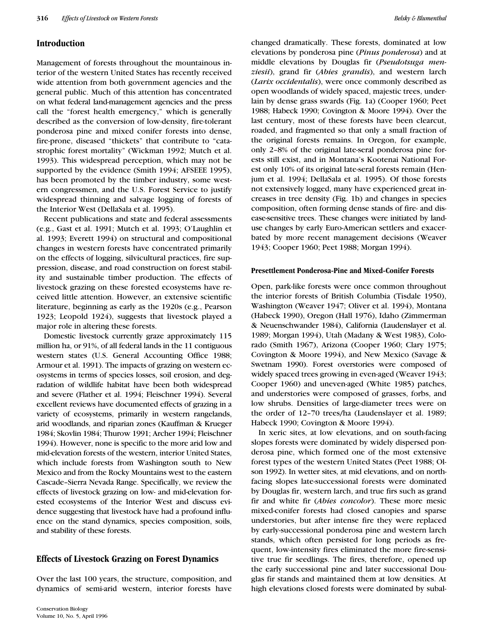# **Introduction**

Management of forests throughout the mountainous interior of the western United States has recently received wide attention from both government agencies and the general public. Much of this attention has concentrated on what federal land-management agencies and the press call the "forest health emergency," which is generally described as the conversion of low-density, fire-tolerant ponderosa pine and mixed conifer forests into dense, fire-prone, diseased "thickets" that contribute to "catastrophic forest mortality" (Wickman 1992; Mutch et al. 1993). This widespread perception, which may not be supported by the evidence (Smith 1994; AFSEEE 1995), has been promoted by the timber industry, some western congressmen, and the U.S. Forest Service to justify widespread thinning and salvage logging of forests of the Interior West (DellaSala et al. 1995).

Recent publications and state and federal assessments (e.g., Gast et al. 1991; Mutch et al. 1993; O'Laughlin et al. 1993; Everett 1994) on structural and compositional changes in western forests have concentrated primarily on the effects of logging, silvicultural practices, fire suppression, disease, and road construction on forest stability and sustainable timber production. The effects of livestock grazing on these forested ecosystems have received little attention. However, an extensive scientific literature, beginning as early as the 1920s (e.g., Pearson 1923; Leopold 1924), suggests that livestock played a major role in altering these forests.

Domestic livestock currently graze approximately 115 million ha, or 91%, of all federal lands in the 11 contiguous western states (U.S. General Accounting Office 1988; Armour et al. 1991). The impacts of grazing on western ecosystems in terms of species losses, soil erosion, and degradation of wildlife habitat have been both widespread and severe (Flather et al. 1994; Fleischner 1994). Several excellent reviews have documented effects of grazing in a variety of ecosystems, primarily in western rangelands, arid woodlands, and riparian zones (Kauffman & Krueger 1984; Skovlin 1984; Thurow 1991; Archer 1994; Fleischner 1994). However, none is specific to the more arid low and mid-elevation forests of the western, interior United States, which include forests from Washington south to New Mexico and from the Rocky Mountains west to the eastern Cascade–Sierra Nevada Range. Specifically, we review the effects of livestock grazing on low- and mid-elevation forested ecosystems of the Interior West and discuss evidence suggesting that livestock have had a profound influence on the stand dynamics, species composition, soils, and stability of these forests.

# **Effects of Livestock Grazing on Forest Dynamics**

Over the last 100 years, the structure, composition, and dynamics of semi-arid western, interior forests have

changed dramatically. These forests, dominated at low elevations by ponderosa pine (*Pinus ponderosa*) and at middle elevations by Douglas fir (*Pseudotsuga menziesii*), grand fir (*Abies grandis*), and western larch (*Larix occidentalis*), were once commonly described as open woodlands of widely spaced, majestic trees, underlain by dense grass swards (Fig. 1a) (Cooper 1960; Peet 1988; Habeck 1990; Covington & Moore 1994). Over the last century, most of these forests have been clearcut, roaded, and fragmented so that only a small fraction of the original forests remains. In Oregon, for example, only 2–8% of the original late-seral ponderosa pine forests still exist, and in Montana's Kootenai National Forest only 10% of its original late-seral forests remain (Henjum et al. 1994; DellaSala et al. 1995). Of those forests not extensively logged, many have experienced great increases in tree density (Fig. 1b) and changes in species composition, often forming dense stands of fire- and disease-sensitive trees. These changes were initiated by landuse changes by early Euro-American settlers and exacerbated by more recent management decisions (Weaver 1943; Cooper 1960; Peet 1988; Morgan 1994).

# **Presettlement Ponderosa-Pine and Mixed-Conifer Forests**

Open, park-like forests were once common throughout the interior forests of British Columbia (Tisdale 1950), Washington (Weaver 1947; Oliver et al. 1994), Montana (Habeck 1990), Oregon (Hall 1976), Idaho (Zimmerman & Neuenschwander 1984), California (Laudenslayer et al. 1989; Morgan 1994), Utah (Madany & West 1983), Colorado (Smith 1967), Arizona (Cooper 1960; Clary 1975; Covington & Moore 1994), and New Mexico (Savage & Swetnam 1990). Forest overstories were composed of widely spaced trees growing in even-aged (Weaver 1943; Cooper 1960) and uneven-aged (White 1985) patches, and understories were composed of grasses, forbs, and low shrubs. Densities of large-diameter trees were on the order of 12–70 trees/ha (Laudenslayer et al. 1989; Habeck 1990; Covington & Moore 1994).

In xeric sites, at low elevations, and on south-facing slopes forests were dominated by widely dispersed ponderosa pine, which formed one of the most extensive forest types of the western United States (Peet 1988; Olson 1992). In wetter sites, at mid elevations, and on northfacing slopes late-successional forests were dominated by Douglas fir, western larch, and true firs such as grand fir and white fir (*Abies concolor*). These more mesic mixed-conifer forests had closed canopies and sparse understories, but after intense fire they were replaced by early-successional ponderosa pine and western larch stands, which often persisted for long periods as frequent, low-intensity fires eliminated the more fire-sensitive true fir seedlings. The fires, therefore, opened up the early successional pine and later successional Douglas fir stands and maintained them at low densities. At high elevations closed forests were dominated by subal-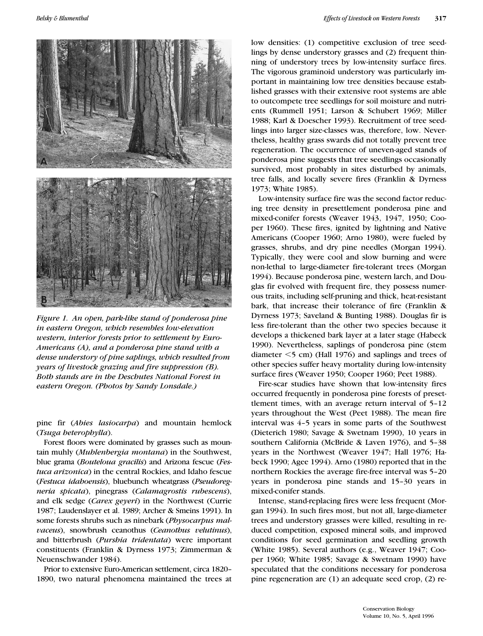

*Figure 1. An open, park-like stand of ponderosa pine in eastern Oregon, which resembles low-elevation western, interior forests prior to settlement by Euro-Americans (A), and a ponderosa pine stand with a dense understory of pine saplings, which resulted from years of livestock grazing and fire suppression (B). Both stands are in the Deschutes National Forest in eastern Oregon. (Photos by Sandy Lonsdale.)*

pine fir (*Abies lasiocarpa*) and mountain hemlock (*Tsuga heterophylla*).

Forest floors were dominated by grasses such as mountain muhly (*Muhlenbergia montana*) in the Southwest, blue grama (*Bouteloua gracilis*) and Arizona fescue (*Festuca arizonica*) in the central Rockies, and Idaho fescue (*Festuca idahoensis*), bluebunch wheatgrass (*Pseudoregneria spicata*), pinegrass (*Calamagrostis rubescens*), and elk sedge (*Carex geyeri*) in the Northwest (Currie 1987; Laudenslayer et al. 1989; Archer & Smeins 1991). In some forests shrubs such as ninebark (*Physocarpus malvaceus*), snowbrush ceanothus (*Ceanothus velutinus*), and bitterbrush (*Purshia tridentata*) were important constituents (Franklin & Dyrness 1973; Zimmerman & Neuenschwander 1984).

Prior to extensive Euro-American settlement, circa 1820– 1890, two natural phenomena maintained the trees at low densities: (1) competitive exclusion of tree seedlings by dense understory grasses and (2) frequent thinning of understory trees by low-intensity surface fires. The vigorous graminoid understory was particularly important in maintaining low tree densities because established grasses with their extensive root systems are able to outcompete tree seedlings for soil moisture and nutrients (Rummell 1951; Larson & Schubert 1969; Miller 1988; Karl & Doescher 1993). Recruitment of tree seedlings into larger size-classes was, therefore, low. Nevertheless, healthy grass swards did not totally prevent tree regeneration. The occurrence of uneven-aged stands of ponderosa pine suggests that tree seedlings occasionally survived, most probably in sites disturbed by animals, tree falls, and locally severe fires (Franklin & Dyrness 1973; White 1985).

Low-intensity surface fire was the second factor reducing tree density in presettlement ponderosa pine and mixed-conifer forests (Weaver 1943, 1947, 1950; Cooper 1960). These fires, ignited by lightning and Native Americans (Cooper 1960; Arno 1980), were fueled by grasses, shrubs, and dry pine needles (Morgan 1994). Typically, they were cool and slow burning and were non-lethal to large-diameter fire-tolerant trees (Morgan 1994). Because ponderosa pine, western larch, and Douglas fir evolved with frequent fire, they possess numerous traits, including self-pruning and thick, heat-resistant bark, that increase their tolerance of fire (Franklin & Dyrness 1973; Saveland & Bunting 1988). Douglas fir is less fire-tolerant than the other two species because it develops a thickened bark layer at a later stage (Habeck 1990). Nevertheless, saplings of ponderosa pine (stem diameter  $\leq$ 5 cm) (Hall 1976) and saplings and trees of other species suffer heavy mortality during low-intensity surface fires (Weaver 1950; Cooper 1960; Peet 1988).

Fire-scar studies have shown that low-intensity fires occurred frequently in ponderosa pine forests of presettlement times, with an average return interval of 5–12 years throughout the West (Peet 1988). The mean fire interval was 4–5 years in some parts of the Southwest (Dieterich 1980; Savage & Swetnam 1990), 10 years in southern California (McBride & Laven 1976), and 5–38 years in the Northwest (Weaver 1947; Hall 1976; Habeck 1990; Agee 1994). Arno (1980) reported that in the northern Rockies the average fire-free interval was 5–20 years in ponderosa pine stands and 15–30 years in mixed-conifer stands.

Intense, stand-replacing fires were less frequent (Morgan 1994). In such fires most, but not all, large-diameter trees and understory grasses were killed, resulting in reduced competition, exposed mineral soils, and improved conditions for seed germination and seedling growth (White 1985). Several authors (e.g., Weaver 1947; Cooper 1960; White 1985; Savage & Swetnam 1990) have speculated that the conditions necessary for ponderosa pine regeneration are (1) an adequate seed crop, (2) re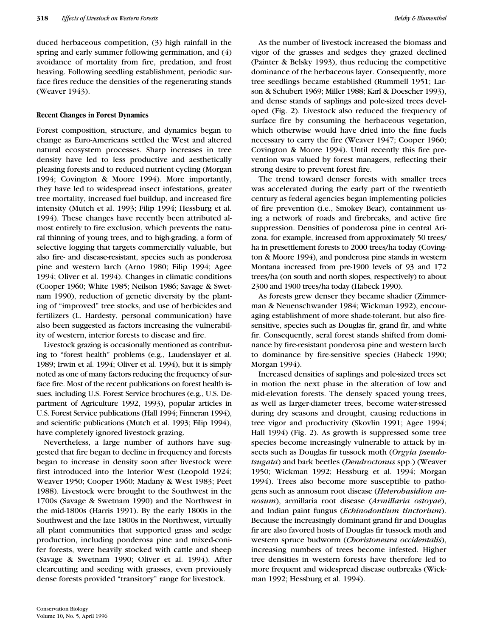duced herbaceous competition, (3) high rainfall in the spring and early summer following germination, and (4) avoidance of mortality from fire, predation, and frost heaving. Following seedling establishment, periodic surface fires reduce the densities of the regenerating stands (Weaver 1943).

## **Recent Changes in Forest Dynamics**

Forest composition, structure, and dynamics began to change as Euro-Americans settled the West and altered natural ecosystem processes. Sharp increases in tree density have led to less productive and aesthetically pleasing forests and to reduced nutrient cycling (Morgan 1994; Covington & Moore 1994). More importantly, they have led to widespread insect infestations, greater tree mortality, increased fuel buildup, and increased fire intensity (Mutch et al. 1993; Filip 1994; Hessburg et al. 1994). These changes have recently been attributed almost entirely to fire exclusion, which prevents the natural thinning of young trees, and to high-grading, a form of selective logging that targets commercially valuable, but also fire- and disease-resistant, species such as ponderosa pine and western larch (Arno 1980; Filip 1994; Agee 1994; Oliver et al. 1994). Changes in climatic conditions (Cooper 1960; White 1985; Neilson 1986; Savage & Swetnam 1990), reduction of genetic diversity by the planting of "improved" tree stocks, and use of herbicides and fertilizers (L. Hardesty, personal communication) have also been suggested as factors increasing the vulnerability of western, interior forests to disease and fire.

Livestock grazing is occasionally mentioned as contributing to "forest health" problems (e.g., Laudenslayer et al. 1989; Irwin et al. 1994; Oliver et al. 1994), but it is simply noted as one of many factors reducing the frequency of surface fire. Most of the recent publications on forest health issues, including U.S. Forest Service brochures (e.g., U.S. Department of Agriculture 1992, 1993), popular articles in U.S. Forest Service publications (Hall 1994; Finneran 1994), and scientific publications (Mutch et al. 1993; Filip 1994), have completely ignored livestock grazing.

Nevertheless, a large number of authors have suggested that fire began to decline in frequency and forests began to increase in density soon after livestock were first introduced into the Interior West (Leopold 1924; Weaver 1950; Cooper 1960; Madany & West 1983; Peet 1988). Livestock were brought to the Southwest in the 1700s (Savage & Swetnam 1990) and the Northwest in the mid-1800s (Harris 1991). By the early 1800s in the Southwest and the late 1800s in the Northwest, virtually all plant communities that supported grass and sedge production, including ponderosa pine and mixed-conifer forests, were heavily stocked with cattle and sheep (Savage & Swetnam 1990; Oliver et al. 1994). After clearcutting and seeding with grasses, even previously dense forests provided "transitory" range for livestock.

As the number of livestock increased the biomass and vigor of the grasses and sedges they grazed declined (Painter & Belsky 1993), thus reducing the competitive dominance of the herbaceous layer. Consequently, more tree seedlings became established (Rummell 1951; Larson & Schubert 1969; Miller 1988; Karl & Doescher 1993), and dense stands of saplings and pole-sized trees developed (Fig. 2). Livestock also reduced the frequency of surface fire by consuming the herbaceous vegetation, which otherwise would have dried into the fine fuels necessary to carry the fire (Weaver 1947; Cooper 1960; Covington & Moore 1994). Until recently this fire prevention was valued by forest managers, reflecting their strong desire to prevent forest fire.

The trend toward denser forests with smaller trees was accelerated during the early part of the twentieth century as federal agencies began implementing policies of fire prevention (i.e., Smokey Bear), containment using a network of roads and firebreaks, and active fire suppression. Densities of ponderosa pine in central Arizona, for example, increased from approximately 50 trees/ ha in presettlement forests to 2000 trees/ha today (Covington & Moore 1994), and ponderosa pine stands in western Montana increased from pre-1900 levels of 93 and 172 trees/ha (on south and north slopes, respectively) to about 2300 and 1900 trees/ha today (Habeck 1990).

As forests grew denser they became shadier (Zimmerman & Neuenschwander 1984; Wickman 1992), encouraging establishment of more shade-tolerant, but also firesensitive, species such as Douglas fir, grand fir, and white fir. Consequently, seral forest stands shifted from dominance by fire-resistant ponderosa pine and western larch to dominance by fire-sensitive species (Habeck 1990; Morgan 1994).

Increased densities of saplings and pole-sized trees set in motion the next phase in the alteration of low and mid-elevation forests. The densely spaced young trees, as well as larger-diameter trees, become water-stressed during dry seasons and drought, causing reductions in tree vigor and productivity (Skovlin 1991; Agee 1994; Hall 1994) (Fig. 2). As growth is suppressed some tree species become increasingly vulnerable to attack by insects such as Douglas fir tussock moth (*Orgyia pseudotsugata*) and bark beetles (*Dendroctonus* spp.) (Weaver 1950; Wickman 1992; Hessburg et al. 1994; Morgan 1994). Trees also become more susceptible to pathogens such as annosum root disease (*Heterobasidion annosum*), armillaria root disease (*Armillaria ostoyae*), and Indian paint fungus (*Echinodontium tinctorium*). Because the increasingly dominant grand fir and Douglas fir are also favored hosts of Douglas fir tussock moth and western spruce budworm (*Choristoneura occidentalis*), increasing numbers of trees become infested. Higher tree densities in western forests have therefore led to more frequent and widespread disease outbreaks (Wickman 1992; Hessburg et al. 1994).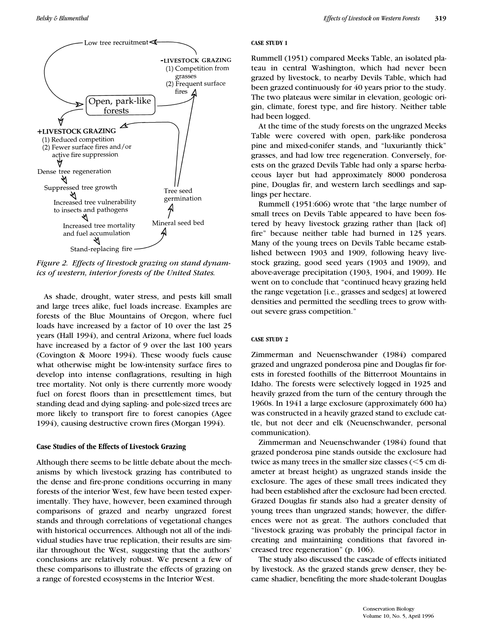

*Figure 2. Effects of livestock grazing on stand dynamics of western, interior forests of the United States.*

As shade, drought, water stress, and pests kill small and large trees alike, fuel loads increase. Examples are forests of the Blue Mountains of Oregon, where fuel loads have increased by a factor of 10 over the last 25 years (Hall 1994), and central Arizona, where fuel loads have increased by a factor of 9 over the last 100 years (Covington & Moore 1994). These woody fuels cause what otherwise might be low-intensity surface fires to develop into intense conflagrations, resulting in high tree mortality. Not only is there currently more woody fuel on forest floors than in presettlement times, but standing dead and dying sapling- and pole-sized trees are more likely to transport fire to forest canopies (Agee 1994), causing destructive crown fires (Morgan 1994).

#### **Case Studies of the Effects of Livestock Grazing**

Although there seems to be little debate about the mechanisms by which livestock grazing has contributed to the dense and fire-prone conditions occurring in many forests of the interior West, few have been tested experimentally. They have, however, been examined through comparisons of grazed and nearby ungrazed forest stands and through correlations of vegetational changes with historical occurrences. Although not all of the individual studies have true replication, their results are similar throughout the West, suggesting that the authors' conclusions are relatively robust. We present a few of these comparisons to illustrate the effects of grazing on a range of forested ecosystems in the Interior West.

#### **CASE STUDY 1**

Rummell (1951) compared Meeks Table, an isolated plateau in central Washington, which had never been grazed by livestock, to nearby Devils Table, which had been grazed continuously for 40 years prior to the study. The two plateaus were similar in elevation, geologic origin, climate, forest type, and fire history. Neither table had been logged.

At the time of the study forests on the ungrazed Meeks Table were covered with open, park-like ponderosa pine and mixed-conifer stands, and "luxuriantly thick" grasses, and had low tree regeneration. Conversely, forests on the grazed Devils Table had only a sparse herbaceous layer but had approximately 8000 ponderosa pine, Douglas fir, and western larch seedlings and saplings per hectare.

Rummell (1951:606) wrote that "the large number of small trees on Devils Table appeared to have been fostered by heavy livestock grazing rather than [lack of] fire" because neither table had burned in 125 years. Many of the young trees on Devils Table became established between 1903 and 1909, following heavy livestock grazing, good seed years (1903 and 1909), and above-average precipitation (1903, 1904, and 1909). He went on to conclude that "continued heavy grazing held the range vegetation [i.e., grasses and sedges] at lowered densities and permitted the seedling trees to grow without severe grass competition."

#### **CASE STUDY 2**

Zimmerman and Neuenschwander (1984) compared grazed and ungrazed ponderosa pine and Douglas fir forests in forested foothills of the Bitterroot Mountains in Idaho. The forests were selectively logged in 1925 and heavily grazed from the turn of the century through the 1960s. In 1941 a large exclosure (approximately 600 ha) was constructed in a heavily grazed stand to exclude cattle, but not deer and elk (Neuenschwander, personal communication).

Zimmerman and Neuenschwander (1984) found that grazed ponderosa pine stands outside the exclosure had twice as many trees in the smaller size classes  $(<5$  cm diameter at breast height) as ungrazed stands inside the exclosure. The ages of these small trees indicated they had been established after the exclosure had been erected. Grazed Douglas fir stands also had a greater density of young trees than ungrazed stands; however, the differences were not as great. The authors concluded that "livestock grazing was probably the principal factor in creating and maintaining conditions that favored increased tree regeneration" (p. 106).

The study also discussed the cascade of effects initiated by livestock. As the grazed stands grew denser, they became shadier, benefiting the more shade-tolerant Douglas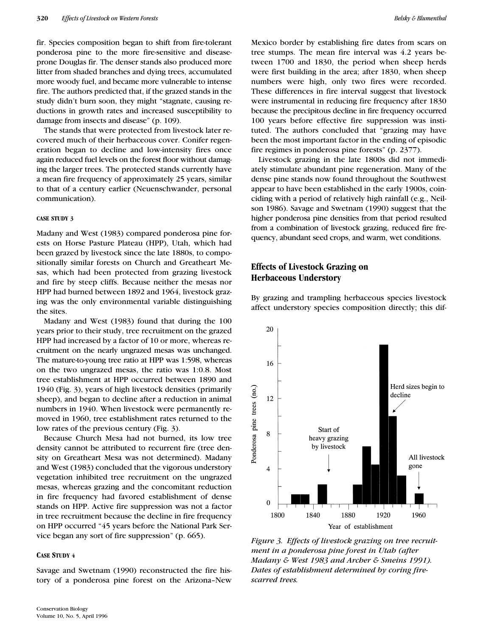fir. Species composition began to shift from fire-tolerant ponderosa pine to the more fire-sensitive and diseaseprone Douglas fir. The denser stands also produced more litter from shaded branches and dying trees, accumulated more woody fuel, and became more vulnerable to intense fire. The authors predicted that, if the grazed stands in the study didn't burn soon, they might "stagnate, causing reductions in growth rates and increased susceptibility to damage from insects and disease" (p. 109).

The stands that were protected from livestock later recovered much of their herbaceous cover. Conifer regeneration began to decline and low-intensity fires once again reduced fuel levels on the forest floor without damaging the larger trees. The protected stands currently have a mean fire frequency of approximately 25 years, similar to that of a century earlier (Neuenschwander, personal communication).

## **CASE STUDY 3**

Madany and West (1983) compared ponderosa pine forests on Horse Pasture Plateau (HPP), Utah, which had been grazed by livestock since the late 1880s, to compositionally similar forests on Church and Greatheart Mesas, which had been protected from grazing livestock and fire by steep cliffs. Because neither the mesas nor HPP had burned between 1892 and 1964, livestock grazing was the only environmental variable distinguishing the sites.

Madany and West (1983) found that during the 100 years prior to their study, tree recruitment on the grazed HPP had increased by a factor of 10 or more, whereas recruitment on the nearly ungrazed mesas was unchanged. The mature-to-young tree ratio at HPP was 1:598, whereas on the two ungrazed mesas, the ratio was 1:0.8. Most tree establishment at HPP occurred between 1890 and 1940 (Fig. 3), years of high livestock densities (primarily sheep), and began to decline after a reduction in animal numbers in 1940. When livestock were permanently removed in 1960, tree establishment rates returned to the low rates of the previous century (Fig. 3).

Because Church Mesa had not burned, its low tree density cannot be attributed to recurrent fire (tree density on Greatheart Mesa was not determined). Madany and West (1983) concluded that the vigorous understory vegetation inhibited tree recruitment on the ungrazed mesas, whereas grazing and the concomitant reduction in fire frequency had favored establishment of dense stands on HPP. Active fire suppression was not a factor in tree recruitment because the decline in fire frequency on HPP occurred "45 years before the National Park Service began any sort of fire suppression" (p. 665).

## **CASE STUDY 4**

Volume 10, No. 5, April 1996

Savage and Swetnam (1990) reconstructed the fire history of a ponderosa pine forest on the Arizona–New

Conservation Biology

Mexico border by establishing fire dates from scars on tree stumps. The mean fire interval was 4.2 years between 1700 and 1830, the period when sheep herds were first building in the area; after 1830, when sheep numbers were high, only two fires were recorded. These differences in fire interval suggest that livestock were instrumental in reducing fire frequency after 1830 because the precipitous decline in fire frequency occurred 100 years before effective fire suppression was instituted. The authors concluded that "grazing may have been the most important factor in the ending of episodic fire regimes in ponderosa pine forests" (p. 2377).

Livestock grazing in the late 1800s did not immediately stimulate abundant pine regeneration. Many of the dense pine stands now found throughout the Southwest appear to have been established in the early 1900s, coinciding with a period of relatively high rainfall (e.g., Neilson 1986). Savage and Swetnam (1990) suggest that the higher ponderosa pine densities from that period resulted from a combination of livestock grazing, reduced fire frequency, abundant seed crops, and warm, wet conditions.

# **Effects of Livestock Grazing on Herbaceous Understory**

By grazing and trampling herbaceous species livestock affect understory species composition directly; this dif-



*Figure 3. Effects of livestock grazing on tree recruitment in a ponderosa pine forest in Utah (after Madany & West 1983 and Archer & Smeins 1991). Dates of establishment determined by coring firescarred trees.*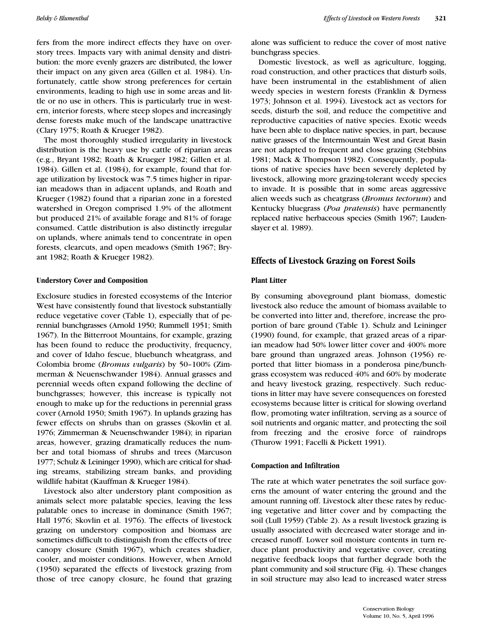fers from the more indirect effects they have on overstory trees. Impacts vary with animal density and distribution: the more evenly grazers are distributed, the lower their impact on any given area (Gillen et al. 1984). Unfortunately, cattle show strong preferences for certain environments, leading to high use in some areas and little or no use in others. This is particularly true in western, interior forests, where steep slopes and increasingly dense forests make much of the landscape unattractive (Clary 1975; Roath & Krueger 1982).

The most thoroughly studied irregularity in livestock distribution is the heavy use by cattle of riparian areas (e.g., Bryant 1982; Roath & Krueger 1982; Gillen et al. 1984). Gillen et al. (1984), for example, found that forage utilization by livestock was 7.5 times higher in riparian meadows than in adjacent uplands, and Roath and Krueger (1982) found that a riparian zone in a forested watershed in Oregon comprised 1.9% of the allotment but produced 21% of available forage and 81% of forage consumed. Cattle distribution is also distinctly irregular on uplands, where animals tend to concentrate in open forests, clearcuts, and open meadows (Smith 1967; Bryant 1982; Roath & Krueger 1982).

## **Understory Cover and Composition**

Exclosure studies in forested ecosystems of the Interior West have consistently found that livestock substantially reduce vegetative cover (Table 1), especially that of perennial bunchgrasses (Arnold 1950; Rummell 1951; Smith 1967). In the Bitterroot Mountains, for example, grazing has been found to reduce the productivity, frequency, and cover of Idaho fescue, bluebunch wheatgrass, and Colombia brome (*Bromus vulgaris*) by 50–100% (Zimmerman & Neuenschwander 1984). Annual grasses and perennial weeds often expand following the decline of bunchgrasses; however, this increase is typically not enough to make up for the reductions in perennial grass cover (Arnold 1950; Smith 1967). In uplands grazing has fewer effects on shrubs than on grasses (Skovlin et al. 1976; Zimmerman & Neuenschwander 1984); in riparian areas, however, grazing dramatically reduces the number and total biomass of shrubs and trees (Marcuson 1977; Schulz & Leininger 1990), which are critical for shading streams, stabilizing stream banks, and providing wildlife habitat (Kauffman & Krueger 1984).

Livestock also alter understory plant composition as animals select more palatable species, leaving the less palatable ones to increase in dominance (Smith 1967; Hall 1976; Skovlin et al. 1976). The effects of livestock grazing on understory composition and biomass are sometimes difficult to distinguish from the effects of tree canopy closure (Smith 1967), which creates shadier, cooler, and moister conditions. However, when Arnold (1950) separated the effects of livestock grazing from those of tree canopy closure, he found that grazing

alone was sufficient to reduce the cover of most native bunchgrass species.

Domestic livestock, as well as agriculture, logging, road construction, and other practices that disturb soils, have been instrumental in the establishment of alien weedy species in western forests (Franklin & Dyrness 1973; Johnson et al. 1994). Livestock act as vectors for seeds, disturb the soil, and reduce the competitive and reproductive capacities of native species. Exotic weeds have been able to displace native species, in part, because native grasses of the Intermountain West and Great Basin are not adapted to frequent and close grazing (Stebbins 1981; Mack & Thompson 1982). Consequently, populations of native species have been severely depleted by livestock, allowing more grazing-tolerant weedy species to invade. It is possible that in some areas aggressive alien weeds such as cheatgrass (*Bromus tectorum*) and Kentucky bluegrass (*Poa pratensis*) have permanently replaced native herbaceous species (Smith 1967; Laudenslayer et al. 1989).

# **Effects of Livestock Grazing on Forest Soils**

## **Plant Litter**

By consuming aboveground plant biomass, domestic livestock also reduce the amount of biomass available to be converted into litter and, therefore, increase the proportion of bare ground (Table 1). Schulz and Leininger (1990) found, for example, that grazed areas of a riparian meadow had 50% lower litter cover and 400% more bare ground than ungrazed areas. Johnson (1956) reported that litter biomass in a ponderosa pine/bunchgrass ecosystem was reduced 40% and 60% by moderate and heavy livestock grazing, respectively. Such reductions in litter may have severe consequences on forested ecosystems because litter is critical for slowing overland flow, promoting water infiltration, serving as a source of soil nutrients and organic matter, and protecting the soil from freezing and the erosive force of raindrops (Thurow 1991; Facelli & Pickett 1991).

## **Compaction and Infiltration**

The rate at which water penetrates the soil surface governs the amount of water entering the ground and the amount running off. Livestock alter these rates by reducing vegetative and litter cover and by compacting the soil (Lull 1959) (Table 2). As a result livestock grazing is usually associated with decreased water storage and increased runoff. Lower soil moisture contents in turn reduce plant productivity and vegetative cover, creating negative feedback loops that further degrade both the plant community and soil structure (Fig. 4). These changes in soil structure may also lead to increased water stress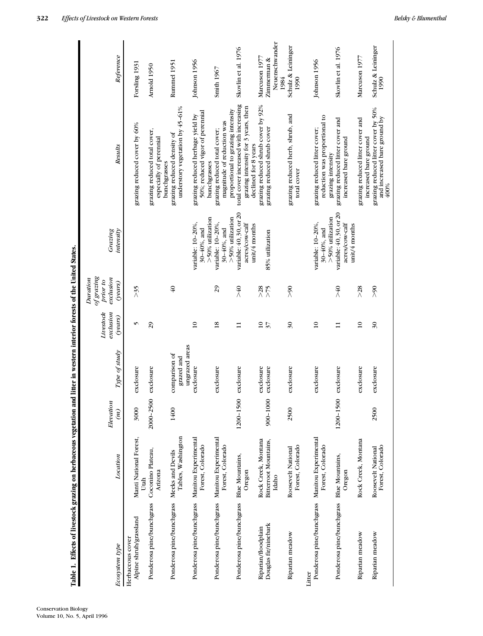| Table 1. Effects of livestock grazing on herbaceous vegetation and litter in western interior forests of the United States. |                                                       |                            |                                               |                          |                                                 |                                                            |                                                                                                      |                                                        |
|-----------------------------------------------------------------------------------------------------------------------------|-------------------------------------------------------|----------------------------|-----------------------------------------------|--------------------------|-------------------------------------------------|------------------------------------------------------------|------------------------------------------------------------------------------------------------------|--------------------------------------------------------|
|                                                                                                                             |                                                       | Elevation                  |                                               | exclusion<br>Livestock   | of grazing<br>exclusion<br>Duration<br>prior to | Grazing                                                    |                                                                                                      |                                                        |
| Ecosystem type                                                                                                              | Location                                              | $\left(\frac{u}{m}\right)$ | Type of study                                 | (years)                  | (years)                                         | intensity                                                  | Results                                                                                              | Reference                                              |
| Alpine shrub/grassland<br>Herbaceous cover                                                                                  | Manti National Forest,<br>Utah                        | 3000                       | exclosure                                     | 5                        | >35                                             |                                                            | grazing reduced cover by 60%                                                                         | Forsling 1931                                          |
| Ponderosa pine/bunchgrass                                                                                                   | Coconino Plateau,<br>Arizona                          | 2000-2500                  | exclosure                                     | 29                       |                                                 |                                                            | grazing reduced total cover,<br>especially of perennial<br>bunchgrasses                              | Arnold 1950                                            |
| Ponderosa pine/bunchgrass                                                                                                   | Tables, Washington<br>Meeks and Devils                | 1400                       | ungrazed areas<br>comparison of<br>grazed and |                          | 40                                              |                                                            | understory vegetation by 45-61%<br>grazing reduced density of                                        | Runnnel 1951                                           |
| Ponderosa pine/bunchgrass                                                                                                   | Manitou Experimental<br>Forest, Colorado              |                            | exclosure                                     | $\overline{10}$          |                                                 | $>$ 50% utilization<br>variable: 10-20%,<br>30-40%, and    | 50%; reduced vigor of perennial<br>grazing reduced herbage yield by<br>bunchgrasses                  | Johnson 1956                                           |
| Ponderosa pine/bunchgrass                                                                                                   | Manitou Experimental<br>Forest, Colorado              |                            | exclosure                                     | 18                       | 29                                              | >50% utilization<br>variable: 10-20%,<br>30-40%, and       | proportional to grazing intensity<br>magnitude of reduction was<br>grazing reduced total cover;      | <b>Smith 1967</b>                                      |
| Ponderosa pine/bunchgrass                                                                                                   | Blue Mountains,<br>Oregon                             | 1200-1500                  | exclosure                                     | $\mathbf{1}$             | $\frac{1}{2}$                                   | variable: 40, 30, or 20<br>acres/cow-calf<br>unit/4 months | total cover increased with increasing<br>grazing intensity for 3 years, then<br>declined for 8 years | Skovlin et al. 1976                                    |
| Douglas fir/ninebark<br>Riparian/floodplain                                                                                 | Rock Creek, Montana<br>Bitterroot Mountains,<br>Idaho | 900-1000                   | exclosure<br>exclosure                        | $\frac{10}{37}$          | $>28$<br>>75                                    | 85% utilization                                            | grazing reduced shrub cover by 92%<br>grazing reduced shrub cover                                    | Neuenschwander<br>Marcuson 1977<br>Zimmerman &<br>1984 |
| Riparian meadow                                                                                                             | Forest, Colorado<br>Roosevelt National                | 2500                       | exclosure                                     | $\overline{\mathcal{E}}$ | $\frac{6}{2}$                                   |                                                            | grazing reduced herb, shrub, and<br>total cover                                                      | Schulz & Leininger<br>1990                             |
| Ponderosa pine/bunchgrass<br>Litter                                                                                         | Manitou Experimental<br>Forest, Colorado              |                            | exclosure                                     | $\overline{10}$          |                                                 | $>$ 50% utilization<br>variable: 10-20%,<br>30-40%, and    | reduction was proportional to<br>grazing reduced litter cover;<br>grazing intensity                  | Johnson 1956                                           |
| Ponderosa pine/bunchgrass                                                                                                   | Blue Mountains,<br>Oregon                             | 1200-1500                  | exclosure                                     | $\Xi$                    | $\frac{1}{2}$                                   | variable: 40, 30, or 20<br>acres/cow-calf<br>unit/4 months | grazing reduced litter cover and<br>increased bare ground                                            | Skovlin et al. 1976                                    |
| Riparian meadow                                                                                                             | Rock Creek, Montana                                   |                            | exclosure                                     | $\overline{10}$          | $>28$                                           |                                                            | grazing reduced litter cover and<br>increased bare ground                                            | Marcuson 1977                                          |
| Riparian meadow                                                                                                             | Forest, Colorado<br>Roosevelt National                | 2500                       | exclosure                                     | $\overline{30}$          | $\lesssim$                                      |                                                            | grazing reduced litter cover by 50%<br>and increased bare ground by<br>400%                          | Schulz & Leininger<br>1990                             |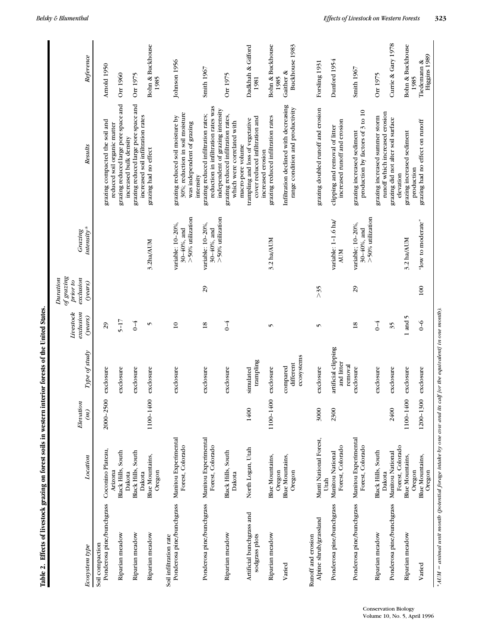| Table 2. Effects of livestock grazing on forest soils in western interior forests of the United States. |                                          |                                         |                                              |                                   |                                  |                                                           |                                                                                                       |                                     |
|---------------------------------------------------------------------------------------------------------|------------------------------------------|-----------------------------------------|----------------------------------------------|-----------------------------------|----------------------------------|-----------------------------------------------------------|-------------------------------------------------------------------------------------------------------|-------------------------------------|
|                                                                                                         |                                          |                                         |                                              |                                   | of grazing<br>Duration           |                                                           |                                                                                                       |                                     |
| Ecosystem type                                                                                          | Location                                 | Elevation<br>$\left(\frac{u}{m}\right)$ | Type of study                                | exclusion<br>Livestock<br>(years) | exclusion<br>prior to<br>(years) | $intensity*$<br>Grazing                                   | Results                                                                                               | Reference                           |
| Ponderosa pine/bunchgrass<br>Soil compaction                                                            | Coconino Plateau,                        | 2000-2500                               | exclosure                                    | $\sqrt{2}$                        |                                  |                                                           | grazing compacted the soil and                                                                        | Amold 1950                          |
| Riparian meadow                                                                                         | <b>Black Hills</b> , South<br>Arizona    |                                         | exclosure                                    | $5 - 17$                          |                                  |                                                           | grazing reduced large pore space and<br>reduced soil organic matter                                   | Orr 1960                            |
| Riparian meadow                                                                                         | Black Hills, South<br>Dakota<br>Dakota   |                                         | exclosure                                    | $0 - 4$                           |                                  |                                                           | grazing reduced large pore space and<br>increased soil infiltration rates<br>increased bulk density   | Orr 1975                            |
| Riparian meadow                                                                                         | Blue Mountains,<br>Oregon                | 1100-1400                               | exclosure                                    | 5                                 |                                  | 3.2ha/AUM                                                 | grazing had no effect                                                                                 | Bohn & Buckhouse<br>1985            |
| Ponderosa pine/bunchgrass<br>Soil infiltration rate                                                     | Manitou Experimental<br>Forest, Colorado |                                         | exclosure                                    | $\overline{10}$                   |                                  | >50% utilization<br>variable: 10-20%,<br>$30 - 40%$ , and | 30%; reduction in soil moisture<br>grazing reduced soil moisture by<br>was independent of grazing     | Johnson 1956                        |
| Ponderosa pine/bunchgrass                                                                               | Manitou Experimental<br>Forest, Colorado |                                         | exclosure                                    | 18                                | 29                               | variable: 10-20%,<br>30-40%, and                          | reduction in infiltration rates was<br>grazing reduced infiltration rates;<br>intensity               | <b>Smith 1967</b>                   |
| Riparian meadow                                                                                         | Black Hills, South<br>Dakota             |                                         | exclosure                                    | $0 - 4$                           |                                  | $>50\%$ utilization                                       | independent of grazing intensity<br>grazing reduced infiltration rates,<br>which were correlated with | Orr 1975                            |
| Artificial bunchgrass and<br>sodgrass plots                                                             | North Logan, Utah                        | 1400                                    | trampling<br>simulated                       |                                   |                                  |                                                           | cover reduced infiltration and<br>trampling and loss of vegetative<br>macro-pore volume               | Dadkhah & Gifford<br>1981           |
| Riparian meadow                                                                                         | Blue Mountains,                          | 1100-1400                               | exclosure                                    | 5                                 |                                  | 3.2 ha/AUM                                                | grazing reduced infiltration rates<br>increased erosion                                               | Bohn & Buckhouse                    |
| Varied                                                                                                  | Blue Mountains,<br>Oregon<br>Oregon      |                                         | ecosystems<br>different<br>compared          |                                   |                                  |                                                           | Infiltration declined with decreasing<br>range condition and productivity                             | Buckhouse 1983<br>Gaither &<br>1985 |
| Alpine shrub/grassland<br>Runoff and erosion                                                            | Manti National Forest,<br>Utah           | 3000                                    | exclosure                                    | 5                                 | >35                              |                                                           | grazing doubled runoff and erosion                                                                    | Forsling 1931                       |
| Ponderosa pine/bunchgrass                                                                               | Forest, Colorado<br>Manitou National     | 2300                                    | artificial clipping<br>and litter<br>removal |                                   |                                  | variable: 1-1.6 ha/<br><b>AUM</b>                         | increased runoff and erosion<br>clipping and removal of litter                                        | Dunford 1954                        |
| Ponderosa pine/bunchgrass                                                                               | Manitou Experimental<br>Forest, Colorado |                                         | exclosure                                    | $\overline{18}$                   | 29                               | $>$ 50% utilization<br>variable; 10-20%,<br>30-40%, and   | production by factors of 3 to 10<br>grazing increased sediment                                        | <b>Smith 1967</b>                   |
| Riparian meadow                                                                                         | Black Hills, South<br>Dakota             |                                         | exclosure                                    | $0 - 4$                           |                                  |                                                           | runoff which increased erosion<br>grazing increased summer storm                                      | Orr 1975                            |
| Ponderosa pine/bunchgrass                                                                               | Forest, Colorado<br>Manitou National     | 2400                                    | exclosure                                    | 35                                |                                  |                                                           | grazing did not alter soil surface<br>elevation                                                       | Currie & Gary 1978                  |
| Riparian meadow                                                                                         | <b>Blue Mountains,</b>                   | 1100-1400                               | exclosure                                    | $1$ and $5$                       |                                  | 3.2 ha/AUM                                                | grazing increased sediment                                                                            | Bohn & Buckhouse                    |
| Varied                                                                                                  | Blue Mountains,<br>Oregon<br>Oregon      | 1200-1300                               | exclosure                                    | $\delta$ -0                       | 100                              | "low to moderate"                                         | grazing had no effect on runoff<br>production                                                         | Higgins 1989<br>Tiedemann &<br>1985 |

\**AUM* 5 *animal unit month (potential forage intake by one cow and its calf [or the equivalent] in one month).*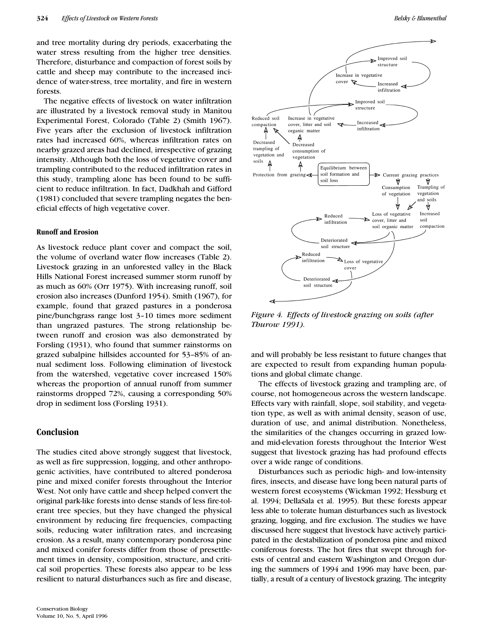and tree mortality during dry periods, exacerbating the water stress resulting from the higher tree densities. Therefore, disturbance and compaction of forest soils by cattle and sheep may contribute to the increased incidence of water-stress, tree mortality, and fire in western forests.

The negative effects of livestock on water infiltration are illustrated by a livestock removal study in Manitou Experimental Forest, Colorado (Table 2) (Smith 1967). Five years after the exclusion of livestock infiltration rates had increased 60%, whereas infiltration rates on nearby grazed areas had declined, irrespective of grazing intensity. Although both the loss of vegetative cover and trampling contributed to the reduced infiltration rates in this study, trampling alone has been found to be sufficient to reduce infiltration. In fact, Dadkhah and Gifford (1981) concluded that severe trampling negates the beneficial effects of high vegetative cover.

# **Runoff and Erosion**

As livestock reduce plant cover and compact the soil, the volume of overland water flow increases (Table 2). Livestock grazing in an unforested valley in the Black Hills National Forest increased summer storm runoff by as much as 60% (Orr 1975). With increasing runoff, soil erosion also increases (Dunford 1954). Smith (1967), for example, found that grazed pastures in a ponderosa pine/bunchgrass range lost 3–10 times more sediment than ungrazed pastures. The strong relationship between runoff and erosion was also demonstrated by Forsling (1931), who found that summer rainstorms on grazed subalpine hillsides accounted for 53–85% of annual sediment loss. Following elimination of livestock from the watershed, vegetative cover increased 150% whereas the proportion of annual runoff from summer rainstorms dropped 72%, causing a corresponding 50% drop in sediment loss (Forsling 1931).

## **Conclusion**

The studies cited above strongly suggest that livestock, as well as fire suppression, logging, and other anthropogenic activities, have contributed to altered ponderosa pine and mixed conifer forests throughout the Interior West. Not only have cattle and sheep helped convert the original park-like forests into dense stands of less fire-tolerant tree species, but they have changed the physical environment by reducing fire frequencies, compacting soils, reducing water infiltration rates, and increasing erosion. As a result, many contemporary ponderosa pine and mixed conifer forests differ from those of presettlement times in density, composition, structure, and critical soil properties. These forests also appear to be less resilient to natural disturbances such as fire and disease,



*Figure 4. Effects of livestock grazing on soils (after Thurow 1991).*

and will probably be less resistant to future changes that are expected to result from expanding human populations and global climate change.

The effects of livestock grazing and trampling are, of course, not homogeneous across the western landscape. Effects vary with rainfall, slope, soil stability, and vegetation type, as well as with animal density, season of use, duration of use, and animal distribution. Nonetheless, the similarities of the changes occurring in grazed lowand mid-elevation forests throughout the Interior West suggest that livestock grazing has had profound effects over a wide range of conditions.

Disturbances such as periodic high- and low-intensity fires, insects, and disease have long been natural parts of western forest ecosystems (Wickman 1992; Hessburg et al. 1994; DellaSala et al. 1995). But these forests appear less able to tolerate human disturbances such as livestock grazing, logging, and fire exclusion. The studies we have discussed here suggest that livestock have actively participated in the destabilization of ponderosa pine and mixed coniferous forests. The hot fires that swept through forests of central and eastern Washington and Oregon during the summers of 1994 and 1996 may have been, partially, a result of a century of livestock grazing. The integrity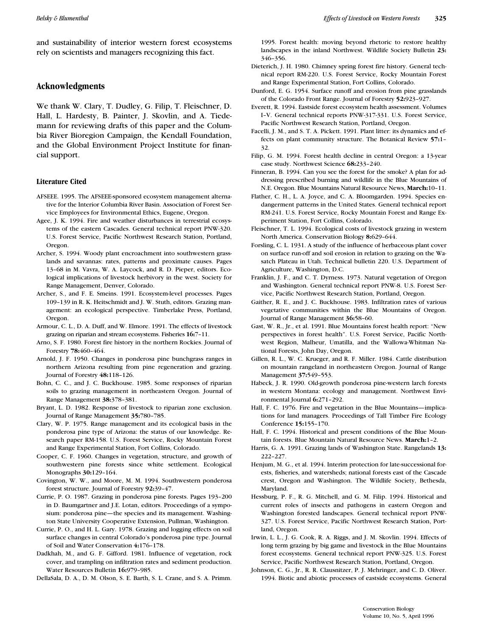and sustainability of interior western forest ecosystems rely on scientists and managers recognizing this fact.

## **Acknowledgments**

We thank W. Clary, T. Dudley, G. Filip, T. Fleischner, D. Hall, L. Hardesty, B. Painter, J. Skovlin, and A. Tiedemann for reviewing drafts of this paper and the Columbia River Bioregion Campaign, the Kendall Foundation, and the Global Environment Project Institute for financial support.

#### **Literature Cited**

- AFSEEE. 1995. The AFSEEE-sponsored ecosystem management alternative for the Interior Columbia River Basin. Association of Forest Service Employees for Environmental Ethics, Eugene, Oregon.
- Agee, J. K. 1994. Fire and weather disturbances in terrestrial ecosystems of the eastern Cascades. General technical report PNW-320. U.S. Forest Service, Pacific Northwest Research Station, Portland, Oregon.
- Archer, S. 1994. Woody plant encroachment into southwestern grasslands and savannas: rates, patterns and proximate causes. Pages 13–68 in M. Vavra, W. A. Laycock, and R. D. Pieper, editors. Ecological implications of livestock herbivory in the west. Society for Range Management, Denver, Colorado.
- Archer, S., and F. E. Smeins. 1991. Ecosystem-level processes. Pages 109–139 in R. K. Heitschmidt and J. W. Stuth, editors. Grazing management: an ecological perspective. Timberlake Press, Portland, Oregon.
- Armour, C. L., D. A. Duff, and W. Elmore. 1991. The effects of livestock grazing on riparian and stream ecosystems. Fisheries **16:**7–11.
- Arno, S. F. 1980. Forest fire history in the northern Rockies. Journal of Forestry **78:**460–464.
- Arnold, J. F. 1950. Changes in ponderosa pine bunchgrass ranges in northern Arizona resulting from pine regeneration and grazing. Journal of Forestry **48:**118–126.
- Bohn, C. C., and J. C. Buckhouse. 1985. Some responses of riparian soils to grazing management in northeastern Oregon. Journal of Range Management **38:**378–381.
- Bryant, L. D. 1982. Response of livestock to riparian zone exclusion. Journal of Range Management **35:**780–785.
- Clary, W. P. 1975. Range management and its ecological basis in the ponderosa pine type of Arizona: the status of our knowledge. Research paper RM-158. U.S. Forest Service, Rocky Mountain Forest and Range Experimental Station, Fort Collins, Colorado.
- Cooper, C. F. 1960. Changes in vegetation, structure, and growth of southwestern pine forests since white settlement. Ecological Monographs **30:**129–164.
- Covington, W. W., and Moore, M. M. 1994. Southwestern ponderosa forest structure. Journal of Forestry **92:**39–47.
- Currie, P. O. 1987. Grazing in ponderosa pine forests. Pages 193–200 in D. Baumgartner and J.E. Lotan, editors. Proceedings of a symposium: ponderosa pine—the species and its management. Washington State University Cooperative Extension, Pullman, Washington.
- Currie, P. O., and H. L. Gary. 1978. Grazing and logging effects on soil surface changes in central Colorado's ponderosa pine type. Journal of Soil and Water Conservation **4:**176–178.
- Dadkhah, M., and G. F. Gifford. 1981. Influence of vegetation, rock cover, and trampling on infiltration rates and sediment production. Water Resources Bulletin **16:**979–985.

DellaSala, D. A., D. M. Olson, S. E. Barth, S. L. Crane, and S. A. Primm.

1995. Forest health: moving beyond rhetoric to restore healthy landscapes in the inland Northwest. Wildlife Society Bulletin **23:** 346–356.

- Dieterich, J. H. 1980. Chimney spring forest fire history. General technical report RM-220. U.S. Forest Service, Rocky Mountain Forest and Range Experimental Station, Fort Collins, Colorado.
- Dunford, E. G. 1954. Surface runoff and erosion from pine grasslands of the Colorado Front Range. Journal of Forestry **52:**923–927.
- Everett, R. 1994. Eastside forest ecosystem health assessment. Volumes I–V. General technical reports PNW-317-331. U.S. Forest Service, Pacific Northwest Research Station, Portland, Oregon.
- Facelli, J. M., and S. T. A. Pickett. 1991. Plant litter: its dynamics and effects on plant community structure. The Botanical Review **57:**1– 32.
- Filip, G. M. 1994. Forest health decline in central Oregon: a 13-year case study. Northwest Science **68:**233–240.
- Finneran, B. 1994. Can you see the forest for the smoke? A plan for addressing prescribed burning and wildlife in the Blue Mountains of N.E. Oregon. Blue Mountains Natural Resource News, **March:**10–11.
- Flather, C. H., L. A. Joyce, and C. A. Bloomgarden. 1994. Species endangerment patterns in the United States. General technical report RM-241. U.S. Forest Service, Rocky Mountain Forest and Range Experiment Station, Fort Collins, Colorado.
- Fleischner, T. L. 1994. Ecological costs of livestock grazing in western North America. Conservation Biology **8:**629–644.
- Forsling, C. L. 1931. A study of the influence of herbaceous plant cover on surface run-off and soil erosion in relation to grazing on the Wasatch Plateau in Utah. Technical bulletin 220. U.S. Department of Agriculture, Washington, D.C.
- Franklin, J. F., and C. T. Dyrness. 1973. Natural vegetation of Oregon and Washington. General technical report PNW-8. U.S. Forest Service, Pacific Northwest Research Station, Portland, Oregon.
- Gaither, R. E., and J. C. Buckhouse. 1983. Infiltration rates of various vegetative communities within the Blue Mountains of Oregon. Journal of Range Management **36:**58–60.
- Gast, W. R., Jr., et al. 1991. Blue Mountains forest health report: "New perspectives in forest health". U.S. Forest Service, Pacific Northwest Region, Malheur, Umatilla, and the Wallowa-Whitman National Forests, John Day, Oregon.
- Gillen, R. L., W. C. Krueger, and R. F. Miller. 1984. Cattle distribution on mountain rangeland in northeastern Oregon. Journal of Range Management **37:**549–553.
- Habeck, J. R. 1990. Old-growth ponderosa pine-western larch forests in western Montana: ecology and management. Northwest Environmental Journal **6:**271–292.
- Hall, F. C. 1976. Fire and vegetation in the Blue Mountains—implications for land managers. Proceedings of Tall Timber Fire Ecology Conference **15:**155–170.
- Hall, F. C. 1994. Historical and present conditions of the Blue Mountain forests. Blue Mountain Natural Resource News. **March:**1–2.
- Harris, G. A. 1991. Grazing lands of Washington State. Rangelands **13:** 222–227.
- Henjum, M. G., et al. 1994. Interim protection for late-successional forests, fisheries, and watersheds; national forests east of the Cascade crest, Oregon and Washington. The Wildlife Society, Bethesda, Maryland.
- Hessburg, P. F., R. G. Mitchell, and G. M. Filip. 1994. Historical and current roles of insects and pathogens in eastern Oregon and Washington forested landscapes. General technical report PNW-327. U.S. Forest Service, Pacific Northwest Research Station, Portland, Oregon.
- Irwin, L. L., J. G. Cook, R. A. Riggs, and J. M. Skovlin. 1994. Effects of long term grazing by big game and livestock in the Blue Mountains forest ecosystems. General technical report PNW-325. U.S. Forest Service, Pacific Northwest Research Station, Portland, Oregon.
- Johnson, C. G., Jr., R. R. Clausnitzer, P. J. Mehringer, and C. D. Oliver. 1994. Biotic and abiotic processes of eastside ecosystems. General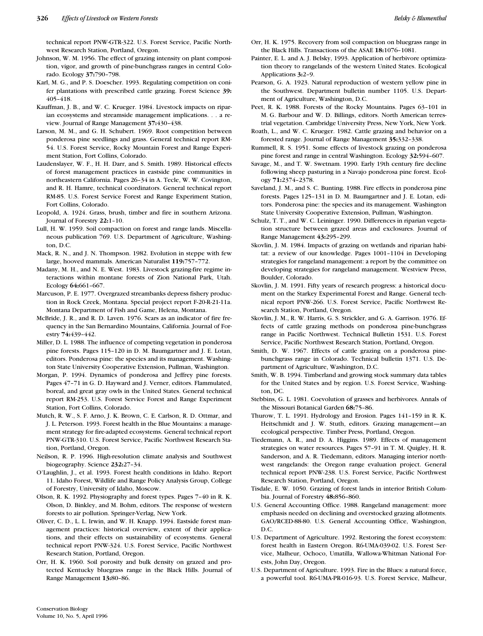technical report PNW-GTR-322. U.S. Forest Service, Pacific Northwest Research Station, Portland, Oregon.

- Johnson, W. M. 1956. The effect of grazing intensity on plant composition, vigor, and growth of pine-bunchgrass ranges in central Colorado. Ecology **37:**790–798.
- Karl, M. G., and P. S. Doescher. 1993. Regulating competition on conifer plantations with prescribed cattle grazing. Forest Science **39:** 405–418.
- Kauffman, J. B., and W. C. Krueger. 1984. Livestock impacts on riparian ecosystems and streamside management implications. . . a review. Journal of Range Management **37:**430–438.
- Larson, M. M., and G. H. Schubert. 1969. Root competition between ponderosa pine seedlings and grass. General technical report RM-54. U.S. Forest Service, Rocky Mountain Forest and Range Experiment Station, Fort Collins, Colorado.
- Laudenslayer, W. F., H. H. Darr, and S. Smith. 1989. Historical effects of forest management practices in eastside pine communities in northeastern California. Pages 26–34 in A. Tecle, W. W. Covington, and R. H. Hamre, technical coordinators. General technical report RM-85. U.S. Forest Service Forest and Range Experiment Station, Fort Collins, Colorado.
- Leopold, A. 1924. Grass, brush, timber and fire in southern Arizona. Journal of Forestry **22:**1–10.
- Lull, H. W. 1959. Soil compaction on forest and range lands. Miscellaneous publication 769. U.S. Department of Agriculture, Washington, D.C.
- Mack, R. N., and J. N. Thompson. 1982. Evolution in steppe with few large, hooved mammals. American Naturalist **119:**757–772.
- Madany, M. H., and N. E. West. 1983. Livestock grazing-fire regime interactions within montane forests of Zion National Park, Utah. Ecology **64:**661–667.
- Marcuson, P. E. 1977. Overgrazed streambanks depress fishery production in Rock Creek, Montana. Special project report F-20-R-21-11a. Montana Department of Fish and Game, Helena, Montana.
- McBride, J. R., and R. D. Laven. 1976. Scars as an indicator of fire frequency in the San Bernardino Mountains, California. Journal of Forestry **74:**439–442.
- Miller, D. L. 1988. The influence of competing vegetation in ponderosa pine forests. Pages 115–120 in D. M. Baumgartner and J. E. Lotan, editors. Ponderosa pine: the species and its management. Washington State University Cooperative Extension, Pullman, Washington.
- Morgan, P. 1994. Dynamics of ponderosa and Jeffrey pine forests. Pages 47–71 in G. D. Hayward and J. Verner, editors. Flammulated, boreal, and great gray owls in the United States. General technical report RM-253. U.S. Forest Service Forest and Range Experiment Station, Fort Collins, Colorado.
- Mutch, R. W., S. F. Arno, J. K. Brown, C. E. Carlson, R. D. Ottmar, and J. L. Peterson. 1993. Forest health in the Blue Mountains: a management strategy for fire-adapted ecosystems. General technical report PNW-GTR-310. U.S. Forest Service, Pacific Northwest Research Station, Portland, Oregon.
- Neilson, R. P. 1996. High-resolution climate analysis and Southwest biogeography. Science **232:**27–34.
- O'Laughlin, J., et al. 1993. Forest health conditions in Idaho. Report 11. Idaho Forest, Wildlife and Range Policy Analysis Group, College of Forestry, University of Idaho, Moscow.
- Olson, R. K. 1992. Physiography and forest types. Pages 7–40 in R. K. Olson, D. Binkley, and M. Bohm, editors. The response of western forests to air pollution. Springer-Verlag, New York.
- Oliver, C. D., L. L. Irwin, and W. H. Knapp. 1994. Eastside forest management practices: historical overview, extent of their applications, and their effects on sustainability of ecosystems. General technical report PNW-324. U.S. Forest Service, Pacific Northwest Research Station, Portland, Oregon.
- Orr, H. K. 1960. Soil porosity and bulk density on grazed and protected Kentucky bluegrass range in the Black Hills. Journal of Range Management **13:**80–86.
- Orr, H. K. 1975. Recovery from soil compaction on bluegrass range in the Black Hills. Transactions of the ASAE **18:**1076–1081.
- Painter, E. L. and A. J. Belsky, 1993. Application of herbivore optimization theory to rangelands of the western United States. Ecological Applications **3:**2–9.
- Pearson, G. A. 1923. Natural reproduction of western yellow pine in the Southwest. Department bulletin number 1105. U.S. Department of Agriculture, Washington, D.C.
- Peet, R. K. 1988. Forests of the Rocky Mountains. Pages 63–101 in M. G. Barbour and W. D. Billings, editors. North American terrestrial vegetation. Cambridge University Press, New York, New York.
- Roath, L., and W. C. Krueger. 1982. Cattle grazing and behavior on a forested range. Journal of Range Management **35:**332–338.
- Rummell, R. S. 1951. Some effects of livestock grazing on ponderosa pine forest and range in central Washington. Ecology **32:**594–607.
- Savage, M., and T. W. Swetnam. 1990. Early 19th century fire decline following sheep pasturing in a Navajo ponderosa pine forest. Ecology **71:**2374–2378.
- Saveland, J. M., and S. C. Bunting. 1988. Fire effects in ponderosa pine forests. Pages 125–131 in D. M. Baumgartner and J. E. Lotan, editors. Ponderosa pine: the species and its management. Washington State University Cooperative Extension, Pullman, Washington.
- Schulz, T. T., and W. C. Leininger. 1990. Differences in riparian vegetation structure between grazed areas and exclosures. Journal of Range Management **43:**295–299.
- Skovlin, J. M. 1984. Impacts of grazing on wetlands and riparian habitat: a review of our knowledge. Pages 1001–1104 in Developing strategies for rangeland management: a report by the committee on developing strategies for rangeland management. Westview Press, Boulder, Colorado.
- Skovlin, J. M. 1991. Fifty years of research progress: a historical document on the Starkey Experimental Forest and Range. General technical report PNW-266. U.S. Forest Service, Pacific Northwest Research Station, Portland, Oregon.
- Skovlin, J. M., R. W. Harris, G. S. Strickler, and G. A. Garrison. 1976. Effects of cattle grazing methods on ponderosa pine-bunchgrass range in Pacific Northwest. Technical Bulletin 1531. U.S. Forest Service, Pacific Northwest Research Station, Portland, Oregon.
- Smith, D. W. 1967. Effects of cattle grazing on a ponderosa pinebunchgrass range in Colorado. Technical bulletin 1371. U.S. Department of Agriculture, Washington, D.C.
- Smith, W. B. 1994. Timberland and growing stock summary data tables for the United States and by region. U.S. Forest Service, Washington, DC.
- Stebbins, G. L. 1981. Coevolution of grasses and herbivores. Annals of the Missouri Botanical Garden **68:**75–86.
- Thurow, T. L. 1991. Hydrology and Erosion. Pages 141–159 in R. K. Heitschmidt and J. W. Stuth, editors. Grazing management—an ecological perspective. Timber Press, Portland, Oregon.
- Tiedemann, A. R., and D. A. Higgins. 1989. Effects of management strategies on water resources. Pages 57–91 in T. M. Quigley, H. R. Sanderson, and A. R. Tiedemann, editors. Managing interior northwest rangelands: the Oregon range evaluation project. General technical report PNW-238. U.S. Forest Service, Pacific Northwest Research Station, Portland, Oregon.
- Tisdale, E. W. 1050. Grazing of forest lands in interior British Columbia. Journal of Forestry **48:**856–860.
- U.S. General Accounting Office. 1988. Rangeland management: more emphasis needed on declining and overstocked grazing allotments. GAO/RCED-88-80. U.S. General Accounting Office, Washington, D.C.
- U.S. Department of Agriculture. 1992. Restoring the forest ecosystem: forest health in Eastern Oregon. R6-UMA-039-02. U.S. Forest Service, Malheur, Ochoco, Umatilla, Wallowa-Whitman National Forests, John Day, Oregon.
- U.S. Department of Agriculture. 1993. Fire in the Blues: a natural force, a powerful tool. R6-UMA-PR-016-93. U.S. Forest Service, Malheur,